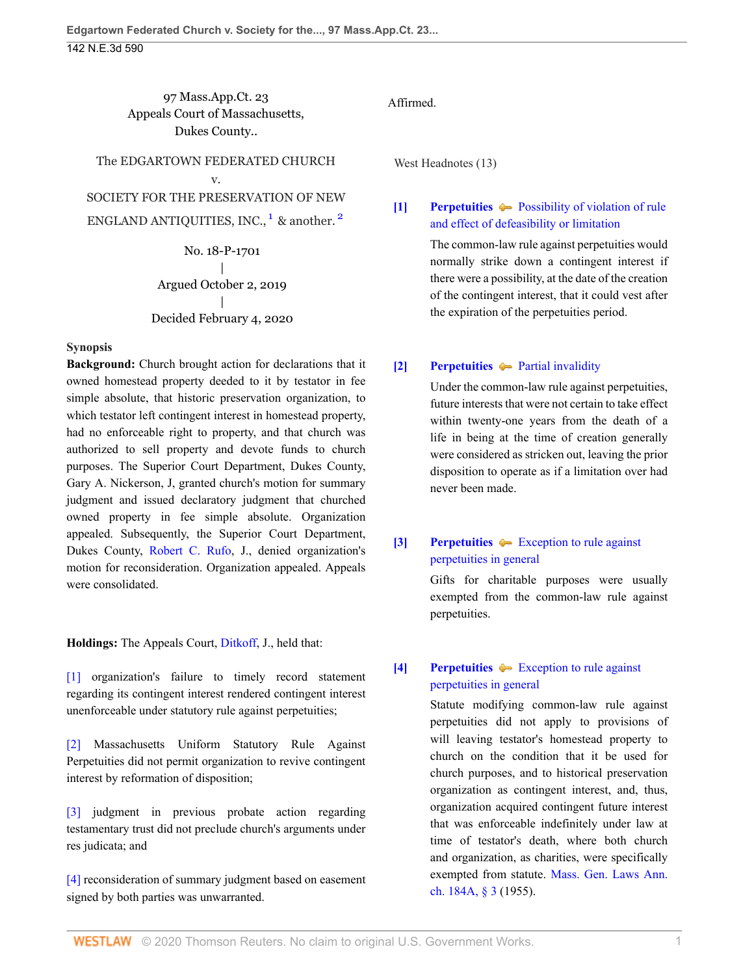97 Mass.App.Ct. 23 Appeals Court of Massachusetts, Dukes County..

The EDGARTOWN FEDERATED CHURCH v. SOCIETY FOR THE PRESERVATION OF NEW ENGLAND ANTIQUITIES, INC.,<sup>[1](#page-5-0)</sup> & another.<sup>[2](#page-5-1)</sup>

> <span id="page-0-4"></span>No. 18-P-1701 | Argued October 2, 2019 | Decided February 4, 2020

#### **Synopsis**

**Background:** Church brought action for declarations that it owned homestead property deeded to it by testator in fee simple absolute, that historic preservation organization, to which testator left contingent interest in homestead property, had no enforceable right to property, and that church was authorized to sell property and devote funds to church purposes. The Superior Court Department, Dukes County, Gary A. Nickerson, J, granted church's motion for summary judgment and issued declaratory judgment that churched owned property in fee simple absolute. Organization appealed. Subsequently, the Superior Court Department, Dukes County, [Robert C. Rufo,](http://www.westlaw.com/Link/Document/FullText?findType=h&pubNum=176284&cite=0151747301&originatingDoc=I7c4bf580477511ea836ad65bf0df97be&refType=RQ&originationContext=document&vr=3.0&rs=cblt1.0&transitionType=DocumentItem&contextData=(sc.UserEnteredCitation)) J., denied organization's motion for reconsideration. Organization appealed. Appeals were consolidated.

**Holdings:** The Appeals Court, [Ditkoff](http://www.westlaw.com/Link/Document/FullText?findType=h&pubNum=176284&cite=0294175699&originatingDoc=I7c4bf580477511ea836ad65bf0df97be&refType=RQ&originationContext=document&vr=3.0&rs=cblt1.0&transitionType=DocumentItem&contextData=(sc.UserEnteredCitation)), J., held that:

[\[1\]](#page-1-0) organization's failure to timely record statement regarding its contingent interest rendered contingent interest unenforceable under statutory rule against perpetuities;

[\[2\]](#page-1-1) Massachusetts Uniform Statutory Rule Against Perpetuities did not permit organization to revive contingent interest by reformation of disposition;

[\[3\]](#page-1-2) judgment in previous probate action regarding testamentary trust did not preclude church's arguments under res judicata; and

[\[4\]](#page-2-0) reconsideration of summary judgment based on easement signed by both parties was unwarranted.

### Affirmed.

West Headnotes (13)

# <span id="page-0-5"></span><span id="page-0-0"></span>**[\[1\]](#page-3-0) [Perpetuities](http://www.westlaw.com/Browse/Home/KeyNumber/298/View.html?docGuid=I7c4bf580477511ea836ad65bf0df97be&originationContext=document&vr=3.0&rs=cblt1.0&transitionType=DocumentItem&contextData=(sc.UserEnteredCitation))** [Possibility of violation of rule](http://www.westlaw.com/Browse/Home/KeyNumber/298k4(2)/View.html?docGuid=I7c4bf580477511ea836ad65bf0df97be&originationContext=document&vr=3.0&rs=cblt1.0&transitionType=DocumentItem&contextData=(sc.UserEnteredCitation)) [and effect of defeasibility or limitation](http://www.westlaw.com/Browse/Home/KeyNumber/298k4(2)/View.html?docGuid=I7c4bf580477511ea836ad65bf0df97be&originationContext=document&vr=3.0&rs=cblt1.0&transitionType=DocumentItem&contextData=(sc.UserEnteredCitation))

The common-law rule against perpetuities would normally strike down a contingent interest if there were a possibility, at the date of the creation of the contingent interest, that it could vest after the expiration of the perpetuities period.

## <span id="page-0-1"></span>**[\[2\]](#page-3-1) [Perpetuities](http://www.westlaw.com/Browse/Home/KeyNumber/298/View.html?docGuid=I7c4bf580477511ea836ad65bf0df97be&originationContext=document&vr=3.0&rs=cblt1.0&transitionType=DocumentItem&contextData=(sc.UserEnteredCitation))**  $\blacktriangleright$  **[Partial invalidity](http://www.westlaw.com/Browse/Home/KeyNumber/298k4(22)/View.html?docGuid=I7c4bf580477511ea836ad65bf0df97be&originationContext=document&vr=3.0&rs=cblt1.0&transitionType=DocumentItem&contextData=(sc.UserEnteredCitation))**

Under the common-law rule against perpetuities, future interests that were not certain to take effect within twenty-one years from the death of a life in being at the time of creation generally were considered as stricken out, leaving the prior disposition to operate as if a limitation over had never been made.

# <span id="page-0-2"></span>**[\[3\]](#page-3-2) [Perpetuities](http://www.westlaw.com/Browse/Home/KeyNumber/298/View.html?docGuid=I7c4bf580477511ea836ad65bf0df97be&originationContext=document&vr=3.0&rs=cblt1.0&transitionType=DocumentItem&contextData=(sc.UserEnteredCitation))**  $\blacktriangleright$  **[Exception to rule against](http://www.westlaw.com/Browse/Home/KeyNumber/298k8(1)/View.html?docGuid=I7c4bf580477511ea836ad65bf0df97be&originationContext=document&vr=3.0&rs=cblt1.0&transitionType=DocumentItem&contextData=(sc.UserEnteredCitation))** [perpetuities in general](http://www.westlaw.com/Browse/Home/KeyNumber/298k8(1)/View.html?docGuid=I7c4bf580477511ea836ad65bf0df97be&originationContext=document&vr=3.0&rs=cblt1.0&transitionType=DocumentItem&contextData=(sc.UserEnteredCitation))

Gifts for charitable purposes were usually exempted from the common-law rule against perpetuities.

# <span id="page-0-3"></span>**[\[4\]](#page-3-3) [Perpetuities](http://www.westlaw.com/Browse/Home/KeyNumber/298/View.html?docGuid=I7c4bf580477511ea836ad65bf0df97be&originationContext=document&vr=3.0&rs=cblt1.0&transitionType=DocumentItem&contextData=(sc.UserEnteredCitation))**  $\blacktriangleright$  **[Exception to rule against](http://www.westlaw.com/Browse/Home/KeyNumber/298k8(1)/View.html?docGuid=I7c4bf580477511ea836ad65bf0df97be&originationContext=document&vr=3.0&rs=cblt1.0&transitionType=DocumentItem&contextData=(sc.UserEnteredCitation))** [perpetuities in general](http://www.westlaw.com/Browse/Home/KeyNumber/298k8(1)/View.html?docGuid=I7c4bf580477511ea836ad65bf0df97be&originationContext=document&vr=3.0&rs=cblt1.0&transitionType=DocumentItem&contextData=(sc.UserEnteredCitation))

Statute modifying common-law rule against perpetuities did not apply to provisions of will leaving testator's homestead property to church on the condition that it be used for church purposes, and to historical preservation organization as contingent interest, and, thus, organization acquired contingent future interest that was enforceable indefinitely under law at time of testator's death, where both church and organization, as charities, were specifically exempted from statute. [Mass. Gen. Laws Ann.](http://www.westlaw.com/Link/Document/FullText?findType=L&pubNum=1000042&cite=MAST184AS3&originatingDoc=I7c4bf580477511ea836ad65bf0df97be&refType=LQ&originationContext=document&vr=3.0&rs=cblt1.0&transitionType=DocumentItem&contextData=(sc.UserEnteredCitation)) [ch. 184A, § 3](http://www.westlaw.com/Link/Document/FullText?findType=L&pubNum=1000042&cite=MAST184AS3&originatingDoc=I7c4bf580477511ea836ad65bf0df97be&refType=LQ&originationContext=document&vr=3.0&rs=cblt1.0&transitionType=DocumentItem&contextData=(sc.UserEnteredCitation)) (1955).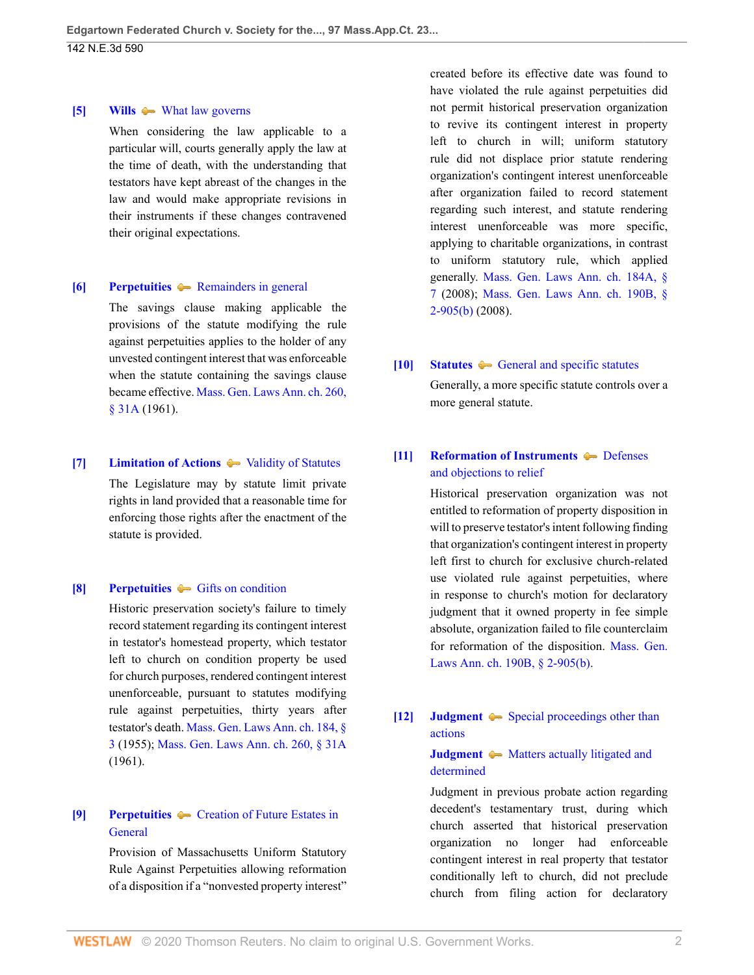#### <span id="page-1-3"></span>**[\[5\]](#page-3-4) [Wills](http://www.westlaw.com/Browse/Home/KeyNumber/409/View.html?docGuid=I7c4bf580477511ea836ad65bf0df97be&originationContext=document&vr=3.0&rs=cblt1.0&transitionType=DocumentItem&contextData=(sc.UserEnteredCitation))**  $\blacklozenge$  **[What law governs](http://www.westlaw.com/Browse/Home/KeyNumber/409k70/View.html?docGuid=I7c4bf580477511ea836ad65bf0df97be&originationContext=document&vr=3.0&rs=cblt1.0&transitionType=DocumentItem&contextData=(sc.UserEnteredCitation))**

When considering the law applicable to a particular will, courts generally apply the law at the time of death, with the understanding that testators have kept abreast of the changes in the law and would make appropriate revisions in their instruments if these changes contravened their original expectations.

#### <span id="page-1-4"></span>**[\[6\]](#page-4-0) [Perpetuities](http://www.westlaw.com/Browse/Home/KeyNumber/298/View.html?docGuid=I7c4bf580477511ea836ad65bf0df97be&originationContext=document&vr=3.0&rs=cblt1.0&transitionType=DocumentItem&contextData=(sc.UserEnteredCitation))** A **Remainders** in general

The savings clause making applicable the provisions of the statute modifying the rule against perpetuities applies to the holder of any unvested contingent interest that was enforceable when the statute containing the savings clause became effective. [Mass. Gen. Laws Ann. ch. 260,](http://www.westlaw.com/Link/Document/FullText?findType=L&pubNum=1000042&cite=MAST260S31A&originatingDoc=I7c4bf580477511ea836ad65bf0df97be&refType=LQ&originationContext=document&vr=3.0&rs=cblt1.0&transitionType=DocumentItem&contextData=(sc.UserEnteredCitation)) [§ 31A](http://www.westlaw.com/Link/Document/FullText?findType=L&pubNum=1000042&cite=MAST260S31A&originatingDoc=I7c4bf580477511ea836ad65bf0df97be&refType=LQ&originationContext=document&vr=3.0&rs=cblt1.0&transitionType=DocumentItem&contextData=(sc.UserEnteredCitation)) (1961).

### <span id="page-1-5"></span>**[\[7\]](#page-4-1) [Limitation of Actions](http://www.westlaw.com/Browse/Home/KeyNumber/241/View.html?docGuid=I7c4bf580477511ea836ad65bf0df97be&originationContext=document&vr=3.0&rs=cblt1.0&transitionType=DocumentItem&contextData=(sc.UserEnteredCitation))**  $\rightarrow$  [Validity of Statutes](http://www.westlaw.com/Browse/Home/KeyNumber/241k4/View.html?docGuid=I7c4bf580477511ea836ad65bf0df97be&originationContext=document&vr=3.0&rs=cblt1.0&transitionType=DocumentItem&contextData=(sc.UserEnteredCitation))

The Legislature may by statute limit private rights in land provided that a reasonable time for enforcing those rights after the enactment of the statute is provided.

### <span id="page-1-0"></span>**[\[8\]](#page-4-2) [Perpetuities](http://www.westlaw.com/Browse/Home/KeyNumber/298/View.html?docGuid=I7c4bf580477511ea836ad65bf0df97be&originationContext=document&vr=3.0&rs=cblt1.0&transitionType=DocumentItem&contextData=(sc.UserEnteredCitation))**  $\bullet$  [Gifts on condition](http://www.westlaw.com/Browse/Home/KeyNumber/298k8(2)/View.html?docGuid=I7c4bf580477511ea836ad65bf0df97be&originationContext=document&vr=3.0&rs=cblt1.0&transitionType=DocumentItem&contextData=(sc.UserEnteredCitation))

Historic preservation society's failure to timely record statement regarding its contingent interest in testator's homestead property, which testator left to church on condition property be used for church purposes, rendered contingent interest unenforceable, pursuant to statutes modifying rule against perpetuities, thirty years after testator's death. [Mass. Gen. Laws Ann. ch. 184, §](http://www.westlaw.com/Link/Document/FullText?findType=L&pubNum=1000042&cite=MAST184S3&originatingDoc=I7c4bf580477511ea836ad65bf0df97be&refType=LQ&originationContext=document&vr=3.0&rs=cblt1.0&transitionType=DocumentItem&contextData=(sc.UserEnteredCitation)) [3](http://www.westlaw.com/Link/Document/FullText?findType=L&pubNum=1000042&cite=MAST184S3&originatingDoc=I7c4bf580477511ea836ad65bf0df97be&refType=LQ&originationContext=document&vr=3.0&rs=cblt1.0&transitionType=DocumentItem&contextData=(sc.UserEnteredCitation)) (1955); [Mass. Gen. Laws Ann. ch. 260, § 31A](http://www.westlaw.com/Link/Document/FullText?findType=L&pubNum=1000042&cite=MAST260S31A&originatingDoc=I7c4bf580477511ea836ad65bf0df97be&refType=LQ&originationContext=document&vr=3.0&rs=cblt1.0&transitionType=DocumentItem&contextData=(sc.UserEnteredCitation)) (1961).

### <span id="page-1-1"></span>**[\[9\]](#page-4-3) [Perpetuities](http://www.westlaw.com/Browse/Home/KeyNumber/298/View.html?docGuid=I7c4bf580477511ea836ad65bf0df97be&originationContext=document&vr=3.0&rs=cblt1.0&transitionType=DocumentItem&contextData=(sc.UserEnteredCitation))**  $\blacktriangleright$  **[Creation of Future Estates in](http://www.westlaw.com/Browse/Home/KeyNumber/298k4/View.html?docGuid=I7c4bf580477511ea836ad65bf0df97be&originationContext=document&vr=3.0&rs=cblt1.0&transitionType=DocumentItem&contextData=(sc.UserEnteredCitation)) [General](http://www.westlaw.com/Browse/Home/KeyNumber/298k4/View.html?docGuid=I7c4bf580477511ea836ad65bf0df97be&originationContext=document&vr=3.0&rs=cblt1.0&transitionType=DocumentItem&contextData=(sc.UserEnteredCitation))**

Provision of Massachusetts Uniform Statutory Rule Against Perpetuities allowing reformation of a disposition if a "nonvested property interest"

created before its effective date was found to have violated the rule against perpetuities did not permit historical preservation organization to revive its contingent interest in property left to church in will; uniform statutory rule did not displace prior statute rendering organization's contingent interest unenforceable after organization failed to record statement regarding such interest, and statute rendering interest unenforceable was more specific, applying to charitable organizations, in contrast to uniform statutory rule, which applied generally. [Mass. Gen. Laws Ann. ch. 184A, §](http://www.westlaw.com/Link/Document/FullText?findType=L&pubNum=1000042&cite=MAST184AS7&originatingDoc=I7c4bf580477511ea836ad65bf0df97be&refType=LQ&originationContext=document&vr=3.0&rs=cblt1.0&transitionType=DocumentItem&contextData=(sc.UserEnteredCitation)) [7](http://www.westlaw.com/Link/Document/FullText?findType=L&pubNum=1000042&cite=MAST184AS7&originatingDoc=I7c4bf580477511ea836ad65bf0df97be&refType=LQ&originationContext=document&vr=3.0&rs=cblt1.0&transitionType=DocumentItem&contextData=(sc.UserEnteredCitation)) (2008); [Mass. Gen. Laws Ann. ch. 190B, §](http://www.westlaw.com/Link/Document/FullText?findType=L&pubNum=1000042&cite=MAST190BS2-905&originatingDoc=I7c4bf580477511ea836ad65bf0df97be&refType=SP&originationContext=document&vr=3.0&rs=cblt1.0&transitionType=DocumentItem&contextData=(sc.UserEnteredCitation)#co_pp_a83b000018c76) [2-905\(b\)](http://www.westlaw.com/Link/Document/FullText?findType=L&pubNum=1000042&cite=MAST190BS2-905&originatingDoc=I7c4bf580477511ea836ad65bf0df97be&refType=SP&originationContext=document&vr=3.0&rs=cblt1.0&transitionType=DocumentItem&contextData=(sc.UserEnteredCitation)#co_pp_a83b000018c76) (2008).

### <span id="page-1-6"></span>**[\[10\]](#page-4-4) [Statutes](http://www.westlaw.com/Browse/Home/KeyNumber/361/View.html?docGuid=I7c4bf580477511ea836ad65bf0df97be&originationContext=document&vr=3.0&rs=cblt1.0&transitionType=DocumentItem&contextData=(sc.UserEnteredCitation))**  $\blacklozenge$  **[General and specific statutes](http://www.westlaw.com/Browse/Home/KeyNumber/361k1217/View.html?docGuid=I7c4bf580477511ea836ad65bf0df97be&originationContext=document&vr=3.0&rs=cblt1.0&transitionType=DocumentItem&contextData=(sc.UserEnteredCitation))**

Generally, a more specific statute controls over a more general statute.

# <span id="page-1-7"></span>**[\[11\]](#page-4-5) [Reformation of Instruments](http://www.westlaw.com/Browse/Home/KeyNumber/328/View.html?docGuid=I7c4bf580477511ea836ad65bf0df97be&originationContext=document&vr=3.0&rs=cblt1.0&transitionType=DocumentItem&contextData=(sc.UserEnteredCitation)) [Defenses](http://www.westlaw.com/Browse/Home/KeyNumber/328k25/View.html?docGuid=I7c4bf580477511ea836ad65bf0df97be&originationContext=document&vr=3.0&rs=cblt1.0&transitionType=DocumentItem&contextData=(sc.UserEnteredCitation))** [and objections to relief](http://www.westlaw.com/Browse/Home/KeyNumber/328k25/View.html?docGuid=I7c4bf580477511ea836ad65bf0df97be&originationContext=document&vr=3.0&rs=cblt1.0&transitionType=DocumentItem&contextData=(sc.UserEnteredCitation))

Historical preservation organization was not entitled to reformation of property disposition in will to preserve testator's intent following finding that organization's contingent interest in property left first to church for exclusive church-related use violated rule against perpetuities, where in response to church's motion for declaratory judgment that it owned property in fee simple absolute, organization failed to file counterclaim for reformation of the disposition. [Mass. Gen.](http://www.westlaw.com/Link/Document/FullText?findType=L&pubNum=1000042&cite=MAST190BS2-905&originatingDoc=I7c4bf580477511ea836ad65bf0df97be&refType=SP&originationContext=document&vr=3.0&rs=cblt1.0&transitionType=DocumentItem&contextData=(sc.UserEnteredCitation)#co_pp_a83b000018c76) [Laws Ann. ch. 190B, § 2-905\(b\)](http://www.westlaw.com/Link/Document/FullText?findType=L&pubNum=1000042&cite=MAST190BS2-905&originatingDoc=I7c4bf580477511ea836ad65bf0df97be&refType=SP&originationContext=document&vr=3.0&rs=cblt1.0&transitionType=DocumentItem&contextData=(sc.UserEnteredCitation)#co_pp_a83b000018c76).

### <span id="page-1-2"></span>**[\[12\]](#page-4-6) [Judgment](http://www.westlaw.com/Browse/Home/KeyNumber/228/View.html?docGuid=I7c4bf580477511ea836ad65bf0df97be&originationContext=document&vr=3.0&rs=cblt1.0&transitionType=DocumentItem&contextData=(sc.UserEnteredCitation))**  $\blacklozenge$  [Special proceedings other than](http://www.westlaw.com/Browse/Home/KeyNumber/228k552/View.html?docGuid=I7c4bf580477511ea836ad65bf0df97be&originationContext=document&vr=3.0&rs=cblt1.0&transitionType=DocumentItem&contextData=(sc.UserEnteredCitation)) [actions](http://www.westlaw.com/Browse/Home/KeyNumber/228k552/View.html?docGuid=I7c4bf580477511ea836ad65bf0df97be&originationContext=document&vr=3.0&rs=cblt1.0&transitionType=DocumentItem&contextData=(sc.UserEnteredCitation))

### **[Judgment](http://www.westlaw.com/Browse/Home/KeyNumber/228/View.html?docGuid=I7c4bf580477511ea836ad65bf0df97be&originationContext=document&vr=3.0&rs=cblt1.0&transitionType=DocumentItem&contextData=(sc.UserEnteredCitation))**  $\bullet\bullet$  [Matters actually litigated and](http://www.westlaw.com/Browse/Home/KeyNumber/228k720/View.html?docGuid=I7c4bf580477511ea836ad65bf0df97be&originationContext=document&vr=3.0&rs=cblt1.0&transitionType=DocumentItem&contextData=(sc.UserEnteredCitation)) [determined](http://www.westlaw.com/Browse/Home/KeyNumber/228k720/View.html?docGuid=I7c4bf580477511ea836ad65bf0df97be&originationContext=document&vr=3.0&rs=cblt1.0&transitionType=DocumentItem&contextData=(sc.UserEnteredCitation))

Judgment in previous probate action regarding decedent's testamentary trust, during which church asserted that historical preservation organization no longer had enforceable contingent interest in real property that testator conditionally left to church, did not preclude church from filing action for declaratory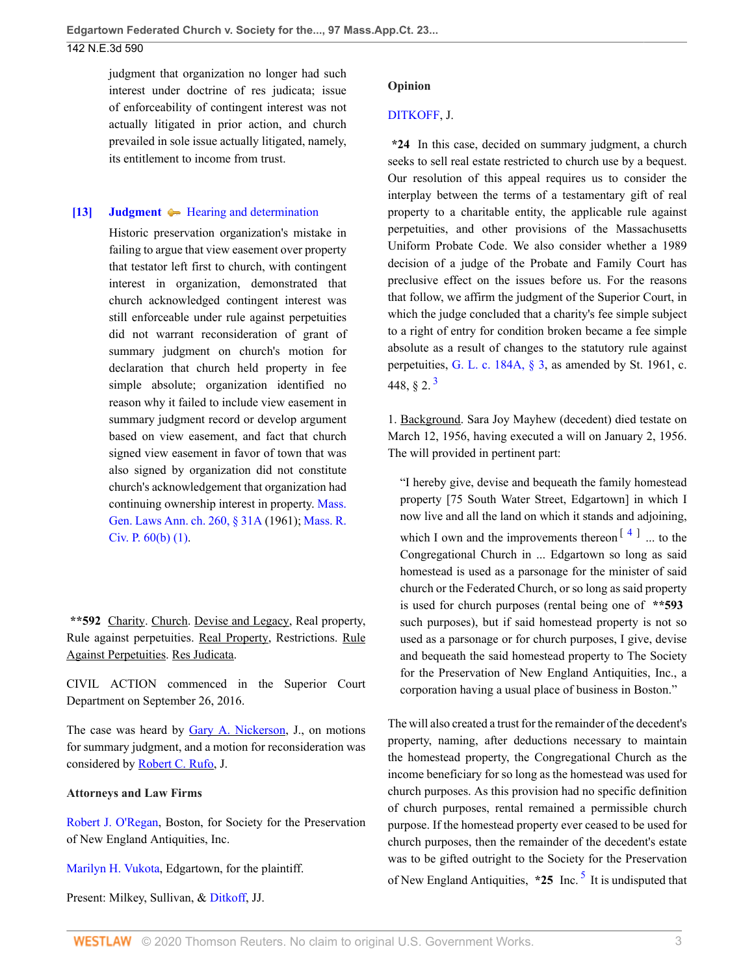### 142 N.E.3d 590

judgment that organization no longer had such interest under doctrine of res judicata; issue of enforceability of contingent interest was not actually litigated in prior action, and church prevailed in sole issue actually litigated, namely, its entitlement to income from trust.

#### <span id="page-2-0"></span>**[\[13\]](#page-5-2) [Judgment](http://www.westlaw.com/Browse/Home/KeyNumber/228/View.html?docGuid=I7c4bf580477511ea836ad65bf0df97be&originationContext=document&vr=3.0&rs=cblt1.0&transitionType=DocumentItem&contextData=(sc.UserEnteredCitation))**  $\blacktriangleright$  [Hearing and determination](http://www.westlaw.com/Browse/Home/KeyNumber/228k186/View.html?docGuid=I7c4bf580477511ea836ad65bf0df97be&originationContext=document&vr=3.0&rs=cblt1.0&transitionType=DocumentItem&contextData=(sc.UserEnteredCitation))

Historic preservation organization's mistake in failing to argue that view easement over property that testator left first to church, with contingent interest in organization, demonstrated that church acknowledged contingent interest was still enforceable under rule against perpetuities did not warrant reconsideration of grant of summary judgment on church's motion for declaration that church held property in fee simple absolute; organization identified no reason why it failed to include view easement in summary judgment record or develop argument based on view easement, and fact that church signed view easement in favor of town that was also signed by organization did not constitute church's acknowledgement that organization had continuing ownership interest in property. [Mass.](http://www.westlaw.com/Link/Document/FullText?findType=L&pubNum=1000042&cite=MAST260S31A&originatingDoc=I7c4bf580477511ea836ad65bf0df97be&refType=LQ&originationContext=document&vr=3.0&rs=cblt1.0&transitionType=DocumentItem&contextData=(sc.UserEnteredCitation)) [Gen. Laws Ann. ch. 260, § 31A](http://www.westlaw.com/Link/Document/FullText?findType=L&pubNum=1000042&cite=MAST260S31A&originatingDoc=I7c4bf580477511ea836ad65bf0df97be&refType=LQ&originationContext=document&vr=3.0&rs=cblt1.0&transitionType=DocumentItem&contextData=(sc.UserEnteredCitation)) (1961); [Mass. R.](http://www.westlaw.com/Link/Document/FullText?findType=L&pubNum=1005735&cite=MASTRCPR60&originatingDoc=I7c4bf580477511ea836ad65bf0df97be&refType=LQ&originationContext=document&vr=3.0&rs=cblt1.0&transitionType=DocumentItem&contextData=(sc.UserEnteredCitation)) [Civ. P. 60\(b\) \(1\).](http://www.westlaw.com/Link/Document/FullText?findType=L&pubNum=1005735&cite=MASTRCPR60&originatingDoc=I7c4bf580477511ea836ad65bf0df97be&refType=LQ&originationContext=document&vr=3.0&rs=cblt1.0&transitionType=DocumentItem&contextData=(sc.UserEnteredCitation))

**\*\*592** Charity. Church. Devise and Legacy, Real property, Rule against perpetuities. Real Property, Restrictions. Rule Against Perpetuities. Res Judicata.

CIVIL ACTION commenced in the Superior Court Department on September 26, 2016.

The case was heard by [Gary A. Nickerson,](http://www.westlaw.com/Link/Document/FullText?findType=h&pubNum=176284&cite=0283111301&originatingDoc=I7c4bf580477511ea836ad65bf0df97be&refType=RQ&originationContext=document&vr=3.0&rs=cblt1.0&transitionType=DocumentItem&contextData=(sc.UserEnteredCitation)) J., on motions for summary judgment, and a motion for reconsideration was considered by [Robert C. Rufo,](http://www.westlaw.com/Link/Document/FullText?findType=h&pubNum=176284&cite=0151747301&originatingDoc=I7c4bf580477511ea836ad65bf0df97be&refType=RQ&originationContext=document&vr=3.0&rs=cblt1.0&transitionType=DocumentItem&contextData=(sc.UserEnteredCitation)) J.

### **Attorneys and Law Firms**

[Robert J. O'Regan,](http://www.westlaw.com/Link/Document/FullText?findType=h&pubNum=176284&cite=0327002301&originatingDoc=I7c4bf580477511ea836ad65bf0df97be&refType=RQ&originationContext=document&vr=3.0&rs=cblt1.0&transitionType=DocumentItem&contextData=(sc.UserEnteredCitation)) Boston, for Society for the Preservation of New England Antiquities, Inc.

[Marilyn H. Vukota,](http://www.westlaw.com/Link/Document/FullText?findType=h&pubNum=176284&cite=0403379001&originatingDoc=I7c4bf580477511ea836ad65bf0df97be&refType=RQ&originationContext=document&vr=3.0&rs=cblt1.0&transitionType=DocumentItem&contextData=(sc.UserEnteredCitation)) Edgartown, for the plaintiff.

Present: Milkey, Sullivan, & [Ditkoff,](http://www.westlaw.com/Link/Document/FullText?findType=h&pubNum=176284&cite=0294175699&originatingDoc=I7c4bf580477511ea836ad65bf0df97be&refType=RQ&originationContext=document&vr=3.0&rs=cblt1.0&transitionType=DocumentItem&contextData=(sc.UserEnteredCitation)) JJ.

### **Opinion**

### [DITKOFF](http://www.westlaw.com/Link/Document/FullText?findType=h&pubNum=176284&cite=0294175699&originatingDoc=I7c4bf580477511ea836ad65bf0df97be&refType=RQ&originationContext=document&vr=3.0&rs=cblt1.0&transitionType=DocumentItem&contextData=(sc.UserEnteredCitation)), J.

**\*24** In this case, decided on summary judgment, a church seeks to sell real estate restricted to church use by a bequest. Our resolution of this appeal requires us to consider the interplay between the terms of a testamentary gift of real property to a charitable entity, the applicable rule against perpetuities, and other provisions of the Massachusetts Uniform Probate Code. We also consider whether a 1989 decision of a judge of the Probate and Family Court has preclusive effect on the issues before us. For the reasons that follow, we affirm the judgment of the Superior Court, in which the judge concluded that a charity's fee simple subject to a right of entry for condition broken became a fee simple absolute as a result of changes to the statutory rule against perpetuities, [G. L. c. 184A, § 3](http://www.westlaw.com/Link/Document/FullText?findType=L&pubNum=1000042&cite=MAST184AS3&originatingDoc=I7c4bf580477511ea836ad65bf0df97be&refType=LQ&originationContext=document&vr=3.0&rs=cblt1.0&transitionType=DocumentItem&contextData=(sc.UserEnteredCitation)), as amended by St. 1961, c. 448,  $\delta$  2.<sup>[3](#page-5-3)</sup>

<span id="page-2-1"></span>1. Background. Sara Joy Mayhew (decedent) died testate on March 12, 1956, having executed a will on January 2, 1956. The will provided in pertinent part:

<span id="page-2-2"></span>"I hereby give, devise and bequeath the family homestead property [75 South Water Street, Edgartown] in which I now live and all the land on which it stands and adjoining, which I own and the improvements thereon<sup> $[4]$  $[4]$  $[4]$ </sup> ... to the Congregational Church in ... Edgartown so long as said homestead is used as a parsonage for the minister of said church or the Federated Church, or so long as said property is used for church purposes (rental being one of **\*\*593** such purposes), but if said homestead property is not so used as a parsonage or for church purposes, I give, devise and bequeath the said homestead property to The Society for the Preservation of New England Antiquities, Inc., a corporation having a usual place of business in Boston."

<span id="page-2-3"></span>The will also created a trust for the remainder of the decedent's property, naming, after deductions necessary to maintain the homestead property, the Congregational Church as the income beneficiary for so long as the homestead was used for church purposes. As this provision had no specific definition of church purposes, rental remained a permissible church purpose. If the homestead property ever ceased to be used for church purposes, then the remainder of the decedent's estate was to be gifted outright to the Society for the Preservation of New England Antiquities,  $*25$  $*25$  Inc.<sup>5</sup> It is undisputed that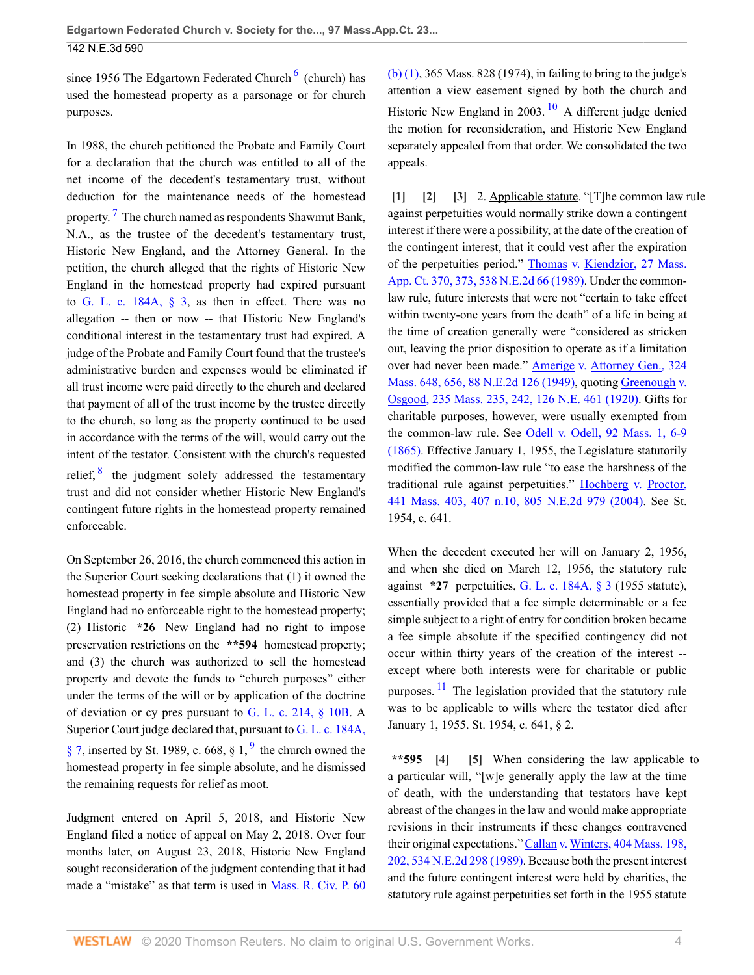since 195[6](#page-5-6) The Edgartown Federated Church<sup>6</sup> (church) has used the homestead property as a parsonage or for church purposes.

<span id="page-3-6"></span>In 1988, the church petitioned the Probate and Family Court for a declaration that the church was entitled to all of the net income of the decedent's testamentary trust, without deduction for the maintenance needs of the homestead property.<sup>[7](#page-5-7)</sup> The church named as respondents Shawmut Bank, N.A., as the trustee of the decedent's testamentary trust, Historic New England, and the Attorney General. In the petition, the church alleged that the rights of Historic New England in the homestead property had expired pursuant to G. L. c.  $184A$ ,  $\S$  3, as then in effect. There was no allegation -- then or now -- that Historic New England's conditional interest in the testamentary trust had expired. A judge of the Probate and Family Court found that the trustee's administrative burden and expenses would be eliminated if all trust income were paid directly to the church and declared that payment of all of the trust income by the trustee directly to the church, so long as the property continued to be used in accordance with the terms of the will, would carry out the intent of the testator. Consistent with the church's requested relief,  $\frac{8}{3}$  $\frac{8}{3}$  $\frac{8}{3}$  the judgment solely addressed the testamentary trust and did not consider whether Historic New England's contingent future rights in the homestead property remained enforceable.

<span id="page-3-7"></span>On September 26, 2016, the church commenced this action in the Superior Court seeking declarations that (1) it owned the homestead property in fee simple absolute and Historic New England had no enforceable right to the homestead property; (2) Historic **\*26** New England had no right to impose preservation restrictions on the **\*\*594** homestead property; and (3) the church was authorized to sell the homestead property and devote the funds to "church purposes" either under the terms of the will or by application of the doctrine of deviation or cy pres pursuant to [G. L. c. 214, § 10B.](http://www.westlaw.com/Link/Document/FullText?findType=L&pubNum=1000042&cite=MAST214S10B&originatingDoc=I7c4bf580477511ea836ad65bf0df97be&refType=LQ&originationContext=document&vr=3.0&rs=cblt1.0&transitionType=DocumentItem&contextData=(sc.UserEnteredCitation)) A Superior Court judge declared that, pursuant to [G. L. c. 184A,](http://www.westlaw.com/Link/Document/FullText?findType=L&pubNum=1000042&cite=MAST184AS7&originatingDoc=I7c4bf580477511ea836ad65bf0df97be&refType=LQ&originationContext=document&vr=3.0&rs=cblt1.0&transitionType=DocumentItem&contextData=(sc.UserEnteredCitation))  $\S$  7, inserted by St. 1[9](#page-5-9)89, c. 668,  $\S$  1,  $\frac{9}{9}$  the church owned the homestead property in fee simple absolute, and he dismissed the remaining requests for relief as moot.

Judgment entered on April 5, 2018, and Historic New England filed a notice of appeal on May 2, 2018. Over four months later, on August 23, 2018, Historic New England sought reconsideration of the judgment contending that it had made a "mistake" as that term is used in [Mass. R. Civ. P. 60](http://www.westlaw.com/Link/Document/FullText?findType=L&pubNum=1005735&cite=MASTRCPR60&originatingDoc=I7c4bf580477511ea836ad65bf0df97be&refType=LQ&originationContext=document&vr=3.0&rs=cblt1.0&transitionType=DocumentItem&contextData=(sc.UserEnteredCitation)) <span id="page-3-9"></span><span id="page-3-5"></span>[\(b\) \(1\)](http://www.westlaw.com/Link/Document/FullText?findType=L&pubNum=1005735&cite=MASTRCPR60&originatingDoc=I7c4bf580477511ea836ad65bf0df97be&refType=LQ&originationContext=document&vr=3.0&rs=cblt1.0&transitionType=DocumentItem&contextData=(sc.UserEnteredCitation)), 365 Mass. 828 (1974), in failing to bring to the judge's attention a view easement signed by both the church and Historic New England in 2003.  $10$  A different judge denied the motion for reconsideration, and Historic New England separately appealed from that order. We consolidated the two appeals.

<span id="page-3-2"></span><span id="page-3-1"></span><span id="page-3-0"></span>**[\[1\]](#page-0-0) [\[2\]](#page-0-1) [\[3\]](#page-0-2)** 2. Applicable statute. "[T]he common law rule against perpetuities would normally strike down a contingent interest if there were a possibility, at the date of the creation of the contingent interest, that it could vest after the expiration of the perpetuities period." [Thomas v. Kiendzior, 27 Mass.](http://www.westlaw.com/Link/Document/FullText?findType=Y&serNum=1989079417&pubNum=0000523&originatingDoc=I7c4bf580477511ea836ad65bf0df97be&refType=RP&fi=co_pp_sp_523_373&originationContext=document&vr=3.0&rs=cblt1.0&transitionType=DocumentItem&contextData=(sc.UserEnteredCitation)#co_pp_sp_523_373) [App. Ct. 370, 373, 538 N.E.2d 66 \(1989\).](http://www.westlaw.com/Link/Document/FullText?findType=Y&serNum=1989079417&pubNum=0000523&originatingDoc=I7c4bf580477511ea836ad65bf0df97be&refType=RP&fi=co_pp_sp_523_373&originationContext=document&vr=3.0&rs=cblt1.0&transitionType=DocumentItem&contextData=(sc.UserEnteredCitation)#co_pp_sp_523_373) Under the commonlaw rule, future interests that were not "certain to take effect within twenty-one years from the death" of a life in being at the time of creation generally were "considered as stricken out, leaving the prior disposition to operate as if a limitation over had never been made." **Amerige v. Attorney Gen.**, 324 [Mass. 648, 656, 88 N.E.2d 126 \(1949\),](http://www.westlaw.com/Link/Document/FullText?findType=Y&serNum=1949108409&pubNum=0000521&originatingDoc=I7c4bf580477511ea836ad65bf0df97be&refType=RP&fi=co_pp_sp_521_656&originationContext=document&vr=3.0&rs=cblt1.0&transitionType=DocumentItem&contextData=(sc.UserEnteredCitation)#co_pp_sp_521_656) quoting [Greenough v.](http://www.westlaw.com/Link/Document/FullText?findType=Y&serNum=1920133719&pubNum=0000521&originatingDoc=I7c4bf580477511ea836ad65bf0df97be&refType=RP&fi=co_pp_sp_521_242&originationContext=document&vr=3.0&rs=cblt1.0&transitionType=DocumentItem&contextData=(sc.UserEnteredCitation)#co_pp_sp_521_242) [Osgood, 235 Mass. 235, 242, 126 N.E. 461 \(1920\).](http://www.westlaw.com/Link/Document/FullText?findType=Y&serNum=1920133719&pubNum=0000521&originatingDoc=I7c4bf580477511ea836ad65bf0df97be&refType=RP&fi=co_pp_sp_521_242&originationContext=document&vr=3.0&rs=cblt1.0&transitionType=DocumentItem&contextData=(sc.UserEnteredCitation)#co_pp_sp_521_242) Gifts for charitable purposes, however, were usually exempted from the common-law rule. See [Odell v. Odell, 92 Mass. 1, 6-9](http://www.westlaw.com/Link/Document/FullText?findType=Y&serNum=1865007623&pubNum=0000521&originatingDoc=I7c4bf580477511ea836ad65bf0df97be&refType=RP&fi=co_pp_sp_521_6&originationContext=document&vr=3.0&rs=cblt1.0&transitionType=DocumentItem&contextData=(sc.UserEnteredCitation)#co_pp_sp_521_6) [\(1865\).](http://www.westlaw.com/Link/Document/FullText?findType=Y&serNum=1865007623&pubNum=0000521&originatingDoc=I7c4bf580477511ea836ad65bf0df97be&refType=RP&fi=co_pp_sp_521_6&originationContext=document&vr=3.0&rs=cblt1.0&transitionType=DocumentItem&contextData=(sc.UserEnteredCitation)#co_pp_sp_521_6) Effective January 1, 1955, the Legislature statutorily modified the common-law rule "to ease the harshness of the traditional rule against perpetuities." [Hochberg v. Proctor,](http://www.westlaw.com/Link/Document/FullText?findType=Y&serNum=2004292556&pubNum=0000521&originatingDoc=I7c4bf580477511ea836ad65bf0df97be&refType=RP&fi=co_pp_sp_521_407&originationContext=document&vr=3.0&rs=cblt1.0&transitionType=DocumentItem&contextData=(sc.UserEnteredCitation)#co_pp_sp_521_407) [441 Mass. 403, 407 n.10, 805 N.E.2d 979 \(2004\)](http://www.westlaw.com/Link/Document/FullText?findType=Y&serNum=2004292556&pubNum=0000521&originatingDoc=I7c4bf580477511ea836ad65bf0df97be&refType=RP&fi=co_pp_sp_521_407&originationContext=document&vr=3.0&rs=cblt1.0&transitionType=DocumentItem&contextData=(sc.UserEnteredCitation)#co_pp_sp_521_407). See St. 1954, c. 641.

When the decedent executed her will on January 2, 1956, and when she died on March 12, 1956, the statutory rule against **\*27** perpetuities, [G. L. c. 184A, § 3](http://www.westlaw.com/Link/Document/FullText?findType=L&pubNum=1000042&cite=MAST184AS3&originatingDoc=I7c4bf580477511ea836ad65bf0df97be&refType=LQ&originationContext=document&vr=3.0&rs=cblt1.0&transitionType=DocumentItem&contextData=(sc.UserEnteredCitation)) (1955 statute), essentially provided that a fee simple determinable or a fee simple subject to a right of entry for condition broken became a fee simple absolute if the specified contingency did not occur within thirty years of the creation of the interest - except where both interests were for charitable or public purposes.  $\frac{11}{1}$  $\frac{11}{1}$  $\frac{11}{1}$  The legislation provided that the statutory rule was to be applicable to wills where the testator died after January 1, 1955. St. 1954, c. 641, § 2.

<span id="page-3-10"></span><span id="page-3-8"></span><span id="page-3-4"></span><span id="page-3-3"></span>**\*\*595 [\[4\]](#page-0-3) [\[5\]](#page-1-3)** When considering the law applicable to a particular will, "[w]e generally apply the law at the time of death, with the understanding that testators have kept abreast of the changes in the law and would make appropriate revisions in their instruments if these changes contravened their original expectations." [Callan v. Winters, 404 Mass. 198,](http://www.westlaw.com/Link/Document/FullText?findType=Y&serNum=1989031946&pubNum=0000521&originatingDoc=I7c4bf580477511ea836ad65bf0df97be&refType=RP&fi=co_pp_sp_521_202&originationContext=document&vr=3.0&rs=cblt1.0&transitionType=DocumentItem&contextData=(sc.UserEnteredCitation)#co_pp_sp_521_202) [202, 534 N.E.2d 298 \(1989\).](http://www.westlaw.com/Link/Document/FullText?findType=Y&serNum=1989031946&pubNum=0000521&originatingDoc=I7c4bf580477511ea836ad65bf0df97be&refType=RP&fi=co_pp_sp_521_202&originationContext=document&vr=3.0&rs=cblt1.0&transitionType=DocumentItem&contextData=(sc.UserEnteredCitation)#co_pp_sp_521_202) Because both the present interest and the future contingent interest were held by charities, the statutory rule against perpetuities set forth in the 1955 statute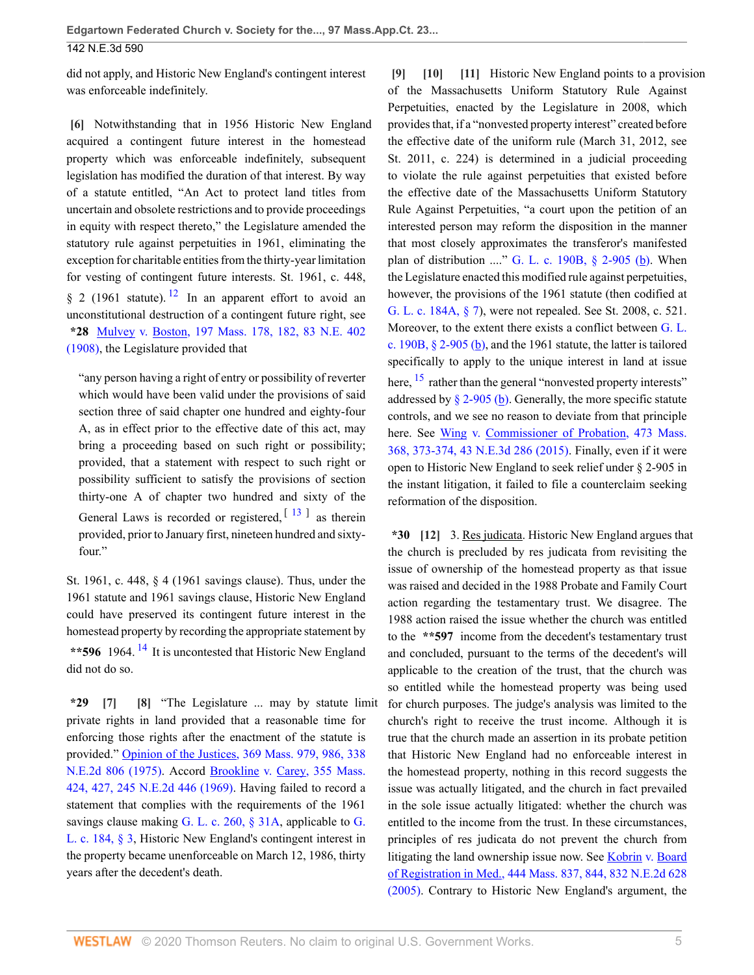### 142 N.E.3d 590

did not apply, and Historic New England's contingent interest was enforceable indefinitely.

<span id="page-4-0"></span>**[\[6\]](#page-1-4)** Notwithstanding that in 1956 Historic New England acquired a contingent future interest in the homestead property which was enforceable indefinitely, subsequent legislation has modified the duration of that interest. By way of a statute entitled, "An Act to protect land titles from uncertain and obsolete restrictions and to provide proceedings in equity with respect thereto," the Legislature amended the statutory rule against perpetuities in 1961, eliminating the exception for charitable entities from the thirty-year limitation for vesting of contingent future interests. St. 1961, c. 448, § 2 (1961 statute). <sup>[12](#page-5-12)</sup> In an apparent effort to avoid an unconstitutional destruction of a contingent future right, see **\*28** [Mulvey v. Boston, 197 Mass. 178, 182, 83 N.E. 402](http://www.westlaw.com/Link/Document/FullText?findType=Y&serNum=1908003349&pubNum=0000521&originatingDoc=I7c4bf580477511ea836ad65bf0df97be&refType=RP&fi=co_pp_sp_521_182&originationContext=document&vr=3.0&rs=cblt1.0&transitionType=DocumentItem&contextData=(sc.UserEnteredCitation)#co_pp_sp_521_182) [\(1908\),](http://www.westlaw.com/Link/Document/FullText?findType=Y&serNum=1908003349&pubNum=0000521&originatingDoc=I7c4bf580477511ea836ad65bf0df97be&refType=RP&fi=co_pp_sp_521_182&originationContext=document&vr=3.0&rs=cblt1.0&transitionType=DocumentItem&contextData=(sc.UserEnteredCitation)#co_pp_sp_521_182) the Legislature provided that

<span id="page-4-7"></span>"any person having a right of entry or possibility of reverter which would have been valid under the provisions of said section three of said chapter one hundred and eighty-four A, as in effect prior to the effective date of this act, may bring a proceeding based on such right or possibility; provided, that a statement with respect to such right or possibility sufficient to satisfy the provisions of section thirty-one A of chapter two hundred and sixty of the General Laws is recorded or registered,  $\left[13\right]$  $\left[13\right]$  $\left[13\right]$  as therein provided, prior to January first, nineteen hundred and sixtyfour."

St. 1961, c. 448, § 4 (1961 savings clause). Thus, under the 1961 statute and 1961 savings clause, Historic New England could have preserved its contingent future interest in the homestead property by recording the appropriate statement by **\*\*596** 1964. [14](#page-6-1) It is uncontested that Historic New England did not do so.

<span id="page-4-9"></span><span id="page-4-2"></span><span id="page-4-1"></span>**\*29 [\[7\]](#page-1-5) [\[8\]](#page-1-0)** "The Legislature ... may by statute limit private rights in land provided that a reasonable time for enforcing those rights after the enactment of the statute is provided." **Opinion of the Justices**, 369 Mass. 979, 986, 338 [N.E.2d 806 \(1975\)](http://www.westlaw.com/Link/Document/FullText?findType=Y&serNum=1975117207&pubNum=0000521&originatingDoc=I7c4bf580477511ea836ad65bf0df97be&refType=RP&fi=co_pp_sp_521_986&originationContext=document&vr=3.0&rs=cblt1.0&transitionType=DocumentItem&contextData=(sc.UserEnteredCitation)#co_pp_sp_521_986). Accord [Brookline v. Carey, 355 Mass.](http://www.westlaw.com/Link/Document/FullText?findType=Y&serNum=1969122061&pubNum=0000521&originatingDoc=I7c4bf580477511ea836ad65bf0df97be&refType=RP&fi=co_pp_sp_521_427&originationContext=document&vr=3.0&rs=cblt1.0&transitionType=DocumentItem&contextData=(sc.UserEnteredCitation)#co_pp_sp_521_427) [424, 427, 245 N.E.2d 446 \(1969\)](http://www.westlaw.com/Link/Document/FullText?findType=Y&serNum=1969122061&pubNum=0000521&originatingDoc=I7c4bf580477511ea836ad65bf0df97be&refType=RP&fi=co_pp_sp_521_427&originationContext=document&vr=3.0&rs=cblt1.0&transitionType=DocumentItem&contextData=(sc.UserEnteredCitation)#co_pp_sp_521_427). Having failed to record a statement that complies with the requirements of the 1961 savings clause making [G.](http://www.westlaw.com/Link/Document/FullText?findType=L&pubNum=1000042&cite=MAST184S3&originatingDoc=I7c4bf580477511ea836ad65bf0df97be&refType=LQ&originationContext=document&vr=3.0&rs=cblt1.0&transitionType=DocumentItem&contextData=(sc.UserEnteredCitation)) L. c. 260,  $\S$  31A, applicable to G. [L. c. 184, § 3](http://www.westlaw.com/Link/Document/FullText?findType=L&pubNum=1000042&cite=MAST184S3&originatingDoc=I7c4bf580477511ea836ad65bf0df97be&refType=LQ&originationContext=document&vr=3.0&rs=cblt1.0&transitionType=DocumentItem&contextData=(sc.UserEnteredCitation)), Historic New England's contingent interest in the property became unenforceable on March 12, 1986, thirty years after the decedent's death.

<span id="page-4-5"></span><span id="page-4-4"></span><span id="page-4-3"></span>**[\[9\]](#page-1-1) [\[10\]](#page-1-6) [\[11\]](#page-1-7)** Historic New England points to a provision of the Massachusetts Uniform Statutory Rule Against Perpetuities, enacted by the Legislature in 2008, which provides that, if a "nonvested property interest" created before the effective date of the uniform rule (March 31, 2012, see St. 2011, c. 224) is determined in a judicial proceeding to violate the rule against perpetuities that existed before the effective date of the Massachusetts Uniform Statutory Rule Against Perpetuities, "a court upon the petition of an interested person may reform the disposition in the manner that most closely approximates the transferor's manifested plan of distribution ...." G. L. c. 190B,  $\S$  2-905 (b). When the Legislature enacted this modified rule against perpetuities, however, the provisions of the 1961 statute (then codified at [G. L. c. 184A, § 7](http://www.westlaw.com/Link/Document/FullText?findType=L&pubNum=1000042&cite=MAST184AS7&originatingDoc=I7c4bf580477511ea836ad65bf0df97be&refType=LQ&originationContext=document&vr=3.0&rs=cblt1.0&transitionType=DocumentItem&contextData=(sc.UserEnteredCitation))), were not repealed. See St. 2008, c. 521. Moreover, to the extent there exists a conflict between [G. L.](http://www.westlaw.com/Link/Document/FullText?findType=L&pubNum=1000042&cite=MAST190BS2-905&originatingDoc=I7c4bf580477511ea836ad65bf0df97be&refType=SP&originationContext=document&vr=3.0&rs=cblt1.0&transitionType=DocumentItem&contextData=(sc.UserEnteredCitation)#co_pp_a83b000018c76) c. 190B,  $\S$  2-905 (b), and the 1961 statute, the latter is tailored specifically to apply to the unique interest in land at issue here, <sup>[15](#page-6-2)</sup> rather than the general "nonvested property interests" addressed by  $\S$  2-905 (b). Generally, the more specific statute controls, and we see no reason to deviate from that principle here. See [Wing v. Commissioner of Probation, 473 Mass.](http://www.westlaw.com/Link/Document/FullText?findType=Y&serNum=2037889975&pubNum=0000521&originatingDoc=I7c4bf580477511ea836ad65bf0df97be&refType=RP&fi=co_pp_sp_521_373&originationContext=document&vr=3.0&rs=cblt1.0&transitionType=DocumentItem&contextData=(sc.UserEnteredCitation)#co_pp_sp_521_373) [368, 373-374, 43 N.E.3d 286 \(2015\).](http://www.westlaw.com/Link/Document/FullText?findType=Y&serNum=2037889975&pubNum=0000521&originatingDoc=I7c4bf580477511ea836ad65bf0df97be&refType=RP&fi=co_pp_sp_521_373&originationContext=document&vr=3.0&rs=cblt1.0&transitionType=DocumentItem&contextData=(sc.UserEnteredCitation)#co_pp_sp_521_373) Finally, even if it were open to Historic New England to seek relief under § 2-905 in the instant litigation, it failed to file a counterclaim seeking reformation of the disposition.

<span id="page-4-10"></span><span id="page-4-8"></span><span id="page-4-6"></span>**\*30 [\[12\]](#page-1-2)** 3. Res judicata. Historic New England argues that the church is precluded by res judicata from revisiting the issue of ownership of the homestead property as that issue was raised and decided in the 1988 Probate and Family Court action regarding the testamentary trust. We disagree. The 1988 action raised the issue whether the church was entitled to the **\*\*597** income from the decedent's testamentary trust and concluded, pursuant to the terms of the decedent's will applicable to the creation of the trust, that the church was so entitled while the homestead property was being used for church purposes. The judge's analysis was limited to the church's right to receive the trust income. Although it is true that the church made an assertion in its probate petition that Historic New England had no enforceable interest in the homestead property, nothing in this record suggests the issue was actually litigated, and the church in fact prevailed in the sole issue actually litigated: whether the church was entitled to the income from the trust. In these circumstances, principles of res judicata do not prevent the church from litigating the land ownership issue now. See [Kobrin v. Board](http://www.westlaw.com/Link/Document/FullText?findType=Y&serNum=2007107137&pubNum=0000521&originatingDoc=I7c4bf580477511ea836ad65bf0df97be&refType=RP&fi=co_pp_sp_521_844&originationContext=document&vr=3.0&rs=cblt1.0&transitionType=DocumentItem&contextData=(sc.UserEnteredCitation)#co_pp_sp_521_844) [of Registration in Med., 444 Mass. 837, 844, 832 N.E.2d 628](http://www.westlaw.com/Link/Document/FullText?findType=Y&serNum=2007107137&pubNum=0000521&originatingDoc=I7c4bf580477511ea836ad65bf0df97be&refType=RP&fi=co_pp_sp_521_844&originationContext=document&vr=3.0&rs=cblt1.0&transitionType=DocumentItem&contextData=(sc.UserEnteredCitation)#co_pp_sp_521_844) [\(2005\).](http://www.westlaw.com/Link/Document/FullText?findType=Y&serNum=2007107137&pubNum=0000521&originatingDoc=I7c4bf580477511ea836ad65bf0df97be&refType=RP&fi=co_pp_sp_521_844&originationContext=document&vr=3.0&rs=cblt1.0&transitionType=DocumentItem&contextData=(sc.UserEnteredCitation)#co_pp_sp_521_844) Contrary to Historic New England's argument, the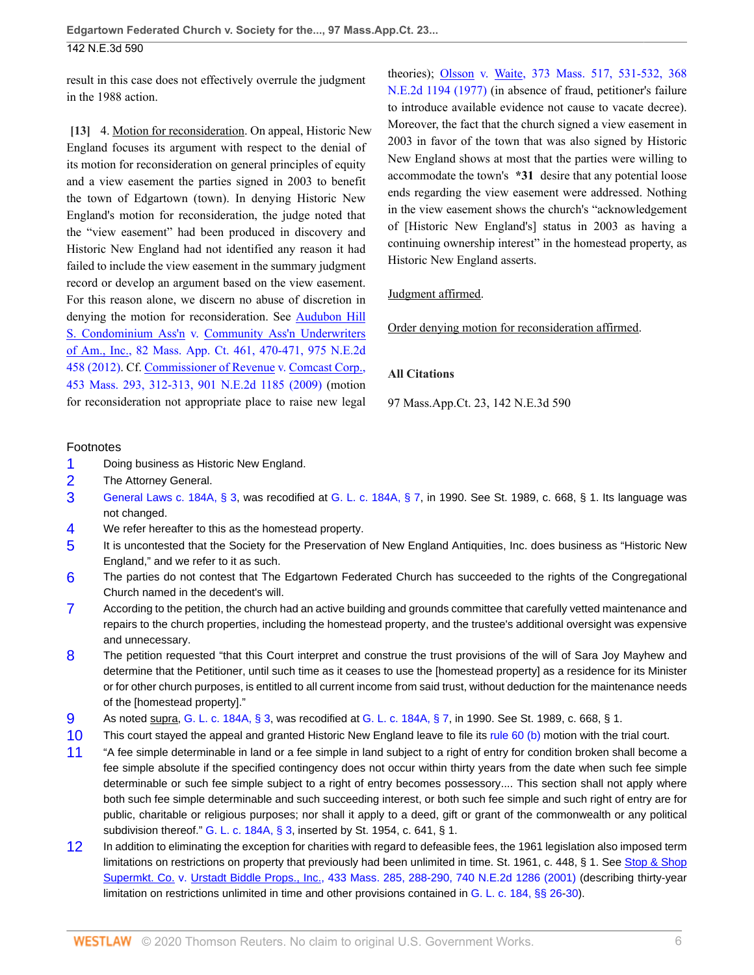### 142 N.E.3d 590

result in this case does not effectively overrule the judgment in the 1988 action.

<span id="page-5-2"></span>**[\[13\]](#page-2-0)** 4. Motion for reconsideration. On appeal, Historic New England focuses its argument with respect to the denial of its motion for reconsideration on general principles of equity and a view easement the parties signed in 2003 to benefit the town of Edgartown (town). In denying Historic New England's motion for reconsideration, the judge noted that the "view easement" had been produced in discovery and Historic New England had not identified any reason it had failed to include the view easement in the summary judgment record or develop an argument based on the view easement. For this reason alone, we discern no abuse of discretion in denying the motion for reconsideration. See [Audubon Hill](http://www.westlaw.com/Link/Document/FullText?findType=Y&serNum=2028639942&pubNum=0000523&originatingDoc=I7c4bf580477511ea836ad65bf0df97be&refType=RP&fi=co_pp_sp_523_470&originationContext=document&vr=3.0&rs=cblt1.0&transitionType=DocumentItem&contextData=(sc.UserEnteredCitation)#co_pp_sp_523_470) [S. Condominium Ass'n v. Community Ass'n Underwriters](http://www.westlaw.com/Link/Document/FullText?findType=Y&serNum=2028639942&pubNum=0000523&originatingDoc=I7c4bf580477511ea836ad65bf0df97be&refType=RP&fi=co_pp_sp_523_470&originationContext=document&vr=3.0&rs=cblt1.0&transitionType=DocumentItem&contextData=(sc.UserEnteredCitation)#co_pp_sp_523_470) [of Am., Inc., 82 Mass. App. Ct. 461, 470-471, 975 N.E.2d](http://www.westlaw.com/Link/Document/FullText?findType=Y&serNum=2028639942&pubNum=0000523&originatingDoc=I7c4bf580477511ea836ad65bf0df97be&refType=RP&fi=co_pp_sp_523_470&originationContext=document&vr=3.0&rs=cblt1.0&transitionType=DocumentItem&contextData=(sc.UserEnteredCitation)#co_pp_sp_523_470) [458 \(2012\).](http://www.westlaw.com/Link/Document/FullText?findType=Y&serNum=2028639942&pubNum=0000523&originatingDoc=I7c4bf580477511ea836ad65bf0df97be&refType=RP&fi=co_pp_sp_523_470&originationContext=document&vr=3.0&rs=cblt1.0&transitionType=DocumentItem&contextData=(sc.UserEnteredCitation)#co_pp_sp_523_470) Cf. [Commissioner of Revenue v. Comcast Corp.,](http://www.westlaw.com/Link/Document/FullText?findType=Y&serNum=2018244256&pubNum=0000521&originatingDoc=I7c4bf580477511ea836ad65bf0df97be&refType=RP&fi=co_pp_sp_521_312&originationContext=document&vr=3.0&rs=cblt1.0&transitionType=DocumentItem&contextData=(sc.UserEnteredCitation)#co_pp_sp_521_312) [453 Mass. 293, 312-313, 901 N.E.2d 1185 \(2009\)](http://www.westlaw.com/Link/Document/FullText?findType=Y&serNum=2018244256&pubNum=0000521&originatingDoc=I7c4bf580477511ea836ad65bf0df97be&refType=RP&fi=co_pp_sp_521_312&originationContext=document&vr=3.0&rs=cblt1.0&transitionType=DocumentItem&contextData=(sc.UserEnteredCitation)#co_pp_sp_521_312) (motion for reconsideration not appropriate place to raise new legal

theories); [Olsson v. Waite, 373 Mass. 517, 531-532, 368](http://www.westlaw.com/Link/Document/FullText?findType=Y&serNum=1977130357&pubNum=0000521&originatingDoc=I7c4bf580477511ea836ad65bf0df97be&refType=RP&fi=co_pp_sp_521_531&originationContext=document&vr=3.0&rs=cblt1.0&transitionType=DocumentItem&contextData=(sc.UserEnteredCitation)#co_pp_sp_521_531) [N.E.2d 1194 \(1977\)](http://www.westlaw.com/Link/Document/FullText?findType=Y&serNum=1977130357&pubNum=0000521&originatingDoc=I7c4bf580477511ea836ad65bf0df97be&refType=RP&fi=co_pp_sp_521_531&originationContext=document&vr=3.0&rs=cblt1.0&transitionType=DocumentItem&contextData=(sc.UserEnteredCitation)#co_pp_sp_521_531) (in absence of fraud, petitioner's failure to introduce available evidence not cause to vacate decree). Moreover, the fact that the church signed a view easement in 2003 in favor of the town that was also signed by Historic New England shows at most that the parties were willing to accommodate the town's **\*31** desire that any potential loose ends regarding the view easement were addressed. Nothing in the view easement shows the church's "acknowledgement of [Historic New England's] status in 2003 as having a continuing ownership interest" in the homestead property, as Historic New England asserts.

### Judgment affirmed.

Order denying motion for reconsideration affirmed.

### **All Citations**

97 Mass.App.Ct. 23, 142 N.E.3d 590

### Footnotes

- <span id="page-5-0"></span>[1](#page-0-4) Doing business as Historic New England.
- <span id="page-5-1"></span>[2](#page-0-5) The Attorney General.
- <span id="page-5-3"></span>[3](#page-2-1) [General Laws c. 184A, § 3](http://www.westlaw.com/Link/Document/FullText?findType=L&pubNum=1000042&cite=MAST184AS3&originatingDoc=I7c4bf580477511ea836ad65bf0df97be&refType=LQ&originationContext=document&vr=3.0&rs=cblt1.0&transitionType=DocumentItem&contextData=(sc.UserEnteredCitation)), was recodified at [G. L. c. 184A, § 7](http://www.westlaw.com/Link/Document/FullText?findType=L&pubNum=1000042&cite=MAST184AS7&originatingDoc=I7c4bf580477511ea836ad65bf0df97be&refType=LQ&originationContext=document&vr=3.0&rs=cblt1.0&transitionType=DocumentItem&contextData=(sc.UserEnteredCitation)), in 1990. See St. 1989, c. 668, § 1. Its language was not changed.
- <span id="page-5-4"></span>[4](#page-2-2) We refer hereafter to this as the homestead property.
- <span id="page-5-5"></span>[5](#page-2-3) It is uncontested that the Society for the Preservation of New England Antiquities, Inc. does business as "Historic New England," and we refer to it as such.
- <span id="page-5-6"></span>[6](#page-3-5) The parties do not contest that The Edgartown Federated Church has succeeded to the rights of the Congregational Church named in the decedent's will.
- <span id="page-5-7"></span>[7](#page-3-6) According to the petition, the church had an active building and grounds committee that carefully vetted maintenance and repairs to the church properties, including the homestead property, and the trustee's additional oversight was expensive and unnecessary.
- <span id="page-5-8"></span>[8](#page-3-7) The petition requested "that this Court interpret and construe the trust provisions of the will of Sara Joy Mayhew and determine that the Petitioner, until such time as it ceases to use the [homestead property] as a residence for its Minister or for other church purposes, is entitled to all current income from said trust, without deduction for the maintenance needs of the [homestead property]."
- <span id="page-5-9"></span>[9](#page-3-8) As noted supra, [G. L. c. 184A, § 3,](http://www.westlaw.com/Link/Document/FullText?findType=L&pubNum=1000042&cite=MAST184AS3&originatingDoc=I7c4bf580477511ea836ad65bf0df97be&refType=LQ&originationContext=document&vr=3.0&rs=cblt1.0&transitionType=DocumentItem&contextData=(sc.UserEnteredCitation)) was recodified at [G. L. c. 184A, § 7,](http://www.westlaw.com/Link/Document/FullText?findType=L&pubNum=1000042&cite=MAST184AS7&originatingDoc=I7c4bf580477511ea836ad65bf0df97be&refType=LQ&originationContext=document&vr=3.0&rs=cblt1.0&transitionType=DocumentItem&contextData=(sc.UserEnteredCitation)) in 1990. See St. 1989, c. 668, § 1.
- <span id="page-5-10"></span>[10](#page-3-9) This court stayed the appeal and granted Historic New England leave to file its [rule 60 \(b\)](http://www.westlaw.com/Link/Document/FullText?findType=L&pubNum=1005735&cite=MASTRCPR60&originatingDoc=I7c4bf580477511ea836ad65bf0df97be&refType=LQ&originationContext=document&vr=3.0&rs=cblt1.0&transitionType=DocumentItem&contextData=(sc.UserEnteredCitation)) motion with the trial court.
- <span id="page-5-11"></span>[11](#page-3-10) "A fee simple determinable in land or a fee simple in land subject to a right of entry for condition broken shall become a fee simple absolute if the specified contingency does not occur within thirty years from the date when such fee simple determinable or such fee simple subject to a right of entry becomes possessory.... This section shall not apply where both such fee simple determinable and such succeeding interest, or both such fee simple and such right of entry are for public, charitable or religious purposes; nor shall it apply to a deed, gift or grant of the commonwealth or any political subdivision thereof." [G. L. c. 184A, § 3](http://www.westlaw.com/Link/Document/FullText?findType=L&pubNum=1000042&cite=MAST184AS3&originatingDoc=I7c4bf580477511ea836ad65bf0df97be&refType=LQ&originationContext=document&vr=3.0&rs=cblt1.0&transitionType=DocumentItem&contextData=(sc.UserEnteredCitation)), inserted by St. 1954, c. 641, § 1.
- <span id="page-5-12"></span>[12](#page-4-7) In addition to eliminating the exception for charities with regard to defeasible fees, the 1961 legislation also imposed term limitations on restrictions on property that previously had been unlimited in time. St. 1961, c. 448, § 1. See [Stop & Shop](http://www.westlaw.com/Link/Document/FullText?findType=Y&serNum=2001092233&pubNum=0000578&originatingDoc=I7c4bf580477511ea836ad65bf0df97be&refType=RP&originationContext=document&vr=3.0&rs=cblt1.0&transitionType=DocumentItem&contextData=(sc.UserEnteredCitation)) [Supermkt. Co. v. Urstadt Biddle Props., Inc., 433 Mass. 285, 288-290, 740 N.E.2d 1286 \(2001\)](http://www.westlaw.com/Link/Document/FullText?findType=Y&serNum=2001092233&pubNum=0000578&originatingDoc=I7c4bf580477511ea836ad65bf0df97be&refType=RP&originationContext=document&vr=3.0&rs=cblt1.0&transitionType=DocumentItem&contextData=(sc.UserEnteredCitation)) (describing thirty-year limitation on restrictions unlimited in time and other provisions contained in [G. L. c. 184, §§ 26-](http://www.westlaw.com/Link/Document/FullText?findType=L&pubNum=1000042&cite=MAST184S26&originatingDoc=I7c4bf580477511ea836ad65bf0df97be&refType=LQ&originationContext=document&vr=3.0&rs=cblt1.0&transitionType=DocumentItem&contextData=(sc.UserEnteredCitation))[30\)](http://www.westlaw.com/Link/Document/FullText?findType=L&pubNum=1000042&cite=MAST184S30&originatingDoc=I7c4bf580477511ea836ad65bf0df97be&refType=LQ&originationContext=document&vr=3.0&rs=cblt1.0&transitionType=DocumentItem&contextData=(sc.UserEnteredCitation)).